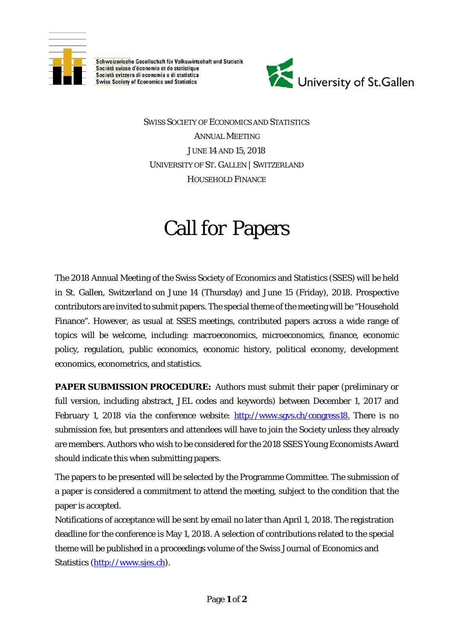

Schweizerische Gesellschaft für Volkswirtschaft und Statistik Société suisse d'économie et de statistique Società svizzera di economia e di statistica **Swiss Society of Economics and Statistics** 



SWISS SOCIETY OF ECONOMICS AND STATISTICS ANNUAL MEETING JUNE 14 AND 15, 2018 UNIVERSITY OF ST. GALLEN | SWITZERLAND HOUSEHOLD FINANCE

## Call for Papers

The 2018 Annual Meeting of the Swiss Society of Economics and Statistics (SSES) will be held in St. Gallen, Switzerland on June 14 (Thursday) and June 15 (Friday), 2018. Prospective contributors are invited to submit papers. The special theme of the meeting will be "Household Finance". However, as usual at SSES meetings, contributed papers across a wide range of topics will be welcome, including: macroeconomics, microeconomics, finance, economic policy, regulation, public economics, economic history, political economy, development economics, econometrics, and statistics.

**PAPER SUBMISSION PROCEDURE:** Authors must submit their paper (preliminary or full version, including abstract, JEL codes and keywords) between December 1, 2017 and February 1, 2018 via the conference website:<http://www.sgvs.ch/congress18.> There is no submission fee, but presenters and attendees will have to join the Society unless they already are members. Authors who wish to be considered for the 2018 SSES Young Economists Award should indicate this when submitting papers.

The papers to be presented will be selected by the Programme Committee. The submission of a paper is considered a commitment to attend the meeting, subject to the condition that the paper is accepted.

Notifications of acceptance will be sent by email no later than April 1, 2018. The registration deadline for the conference is May 1, 2018. A selection of contributions related to the special theme will be published in a proceedings volume of the Swiss Journal of Economics and Statistics [\(http://www.sjes.ch\)](http://www.sjes.ch/).